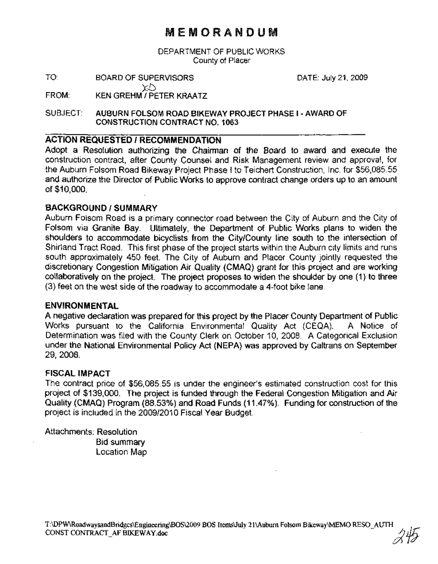# MEMORANDUM

DEPARTMENT OF PUBLIC WORKS County of Placer

TO: BOARD OF SUPERVISORS Xi:)

DATE: July 21,2009

FROM: KEN GREHM I PETER KRAATZ

SUBJECT: AUBURN FOLSOM ROAD BIKEWAY PROJECT PHASE I- AWARD OF CONSTRUCTION CONTRACT NO.1 063

## ACTION REQUESTED I RECOMMENDATION

Adopt a Resolution authorizing the Chairman of the Board to award and execute the construction contract, after County Counsel and Risk Management review and approval, for the Auburn Folsom Road Bikeway Project Phase I to Teichert Construction, Inc. for \$56,085.55 and authorize the Director of Public Works to approve contract change orders up to an amount of \$10,000.

## BACKGROUND/SUMMARY

Auburn Folsom Road is a primary connector road between the City of Auburn and the City of Folsom via Granite Bay. Ultimately, the Department of Public Works plans to widen the shoulders to accommodate bicyclists from the City/County line south to the intersection of Shirland Tract Road. This first phase of the project starts within the Auburn city limits and runs south approximately 450 feet. The City of Auburn and Placer County jointly requested the discretionary Congestion Mitigation Air Quality (CMAQ) grant for this project and are working collaboratively on the project. The project proposes to widen the shoulder by one (1) to three (3) feet on the west side of the roadway to accommodate a 4-foot bike lane.

### ENVIRONMENTAL

A negative declaration was prepared for this project by the Placer County Department of Public Works pursuant to the California Environmental Quality Act (CEQA). A Notice of Determination was filed with the County Clerk on October 10, 2008. A Categorical Exclusion under the National Environmental Policy Act (NEPA) was approved by Caltrans on September 29,2008.

### FISCAL IMPACT

The contract price of \$56,085.55 is under the engineer's estimated construction cost for this project of \$139,000. The project is funded through the Federal Congestion Mitigation and Air Quality (CMAQ) Program (88.53%) and Road Funds (11.47%). Funding for construction of the project is included in the 2009/2010 Fiscal Vear Budget.

Attachments: Resolution Bid summary Location Map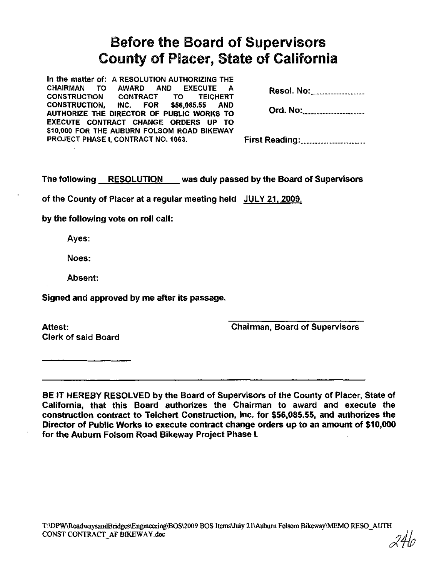# Before the Board of Supervisors County of Placer, State of California

In the matter of: A RESOLUTION AUTHORIZING THE<br>CHAIRMAN TO AWARD AND EXECUTE A TO AWARD AND EXECUTE A CONSTRUCTION CONTRACT TO TEICHERT CONSTRUCTION, INC. FOR \$56,085.55 AND AUTHORIZE THE DIRECTOR OF PUBLIC WORKS TO EXECUTE CONTRACT CHANGE ORDERS UP TO \$10,000 FOR THE AUBURN FOLSOM ROAD BIKEWAY PROJECT PHASE I, CONTRACT NO. 1063.

|--|--|

Ord. No: .

First Reading: .

The following RESOLUTION was duly passed by the Board of Supervisors

of the County of Placer at a regular meeting held JULY 21, 2009.

by the following vote on roll call:

Ayes:

Noes:

Absent:

Signed and approved by me after its passage.

Attest: Clerk of said Board Chairman, Board of Supervisors

BE IT HEREBY RESOLVED by the Board of Supervisors of the County of Placer, State of California, that this Board authorizes the Chairman to award and execute the construction contract to Teichert Construction, Inc. for \$56,085.55, and authorizes the Director of Public Works to execute contract change orders up to an amount of \$10,000 for the Auburn Folsom Road Bikeway Project Phase I.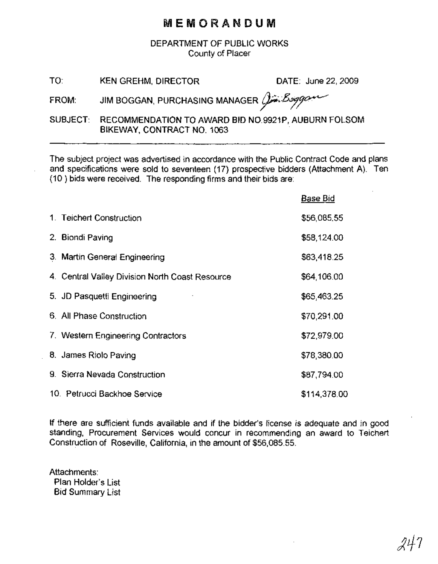## MEMORANDUM

DEPARTMENT OF PUBLIC WORKS County of Placer

| TO: | <b>KEN GREHM, DIRECTOR</b> |
|-----|----------------------------|
|-----|----------------------------|

DATE: June 22, 2009

FROM: JIM BOGGAN, PURCHASING MANAGER  $\hat{\beta}$ inggan

SUBJECT: RECOMMENDATION TO AWARD BID NO.9921P, AUBURN FOLSOM BIKEWAY, CONTRACT NO. 1063

The subject project was advertised in accordance with the Public Contract Code and plans and specifications were sold to seventeen (17) prospective bidders (Attachment A). Ten (10) bids were received. The responding firms and their bids are:

|                                                 | Base Bid     |
|-------------------------------------------------|--------------|
| 1. Teichert Construction                        | \$56,085.55  |
| 2. Biondi Paving                                | \$58,124.00  |
| 3. Martin General Engineering                   | \$63,418.25  |
| 4. Central Valley Division North Coast Resource | \$64,106.00  |
| 5. JD Pasquetti Engineering                     | \$65,463.25  |
| 6. All Phase Construction                       | \$70,291.00  |
| 7. Western Engineering Contractors              | \$72,979.00  |
| 8. James Riolo Paving                           | \$78,380.00  |
| 9. Sierra Nevada Construction                   | \$87,794.00  |
| 10. Petrucci Backhoe Service                    | \$114,378.00 |

If there are sufficient funds available and if the bidder's license is adequate and in good standing, Procurement Services would concur in recommending an award to Teichert Construction of Roseville, California, in the amount of \$56,085.55.

Attachments: Plan Holder's List Bid Summary List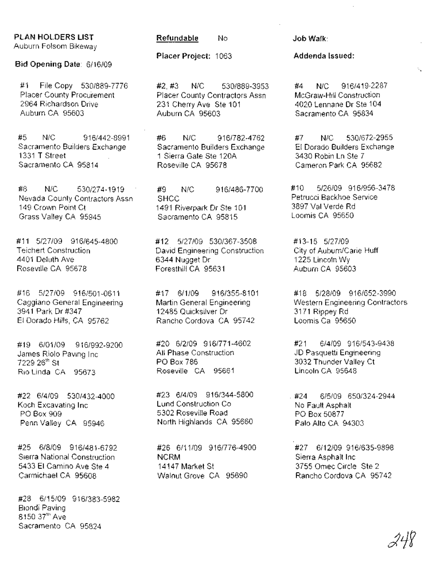## PLAN HOLDERS LIST

Auburn Folsom Bikeway

Bid Opening Date: 6/16/09

#1 File Copy 530/889-7776 Placer County Procurement 2964 Richardson Drive Auburn CA 95603

#5 N/C 916/442-8991 Sacramento Builders Exchange 1331 T Street Sacramento CA 95814

#8 N/C 530/274-1919 Nevada County Contractors Assn 149 Crown Point Ct Grass Valley CA 95945

#11 5/27/09 916/645-4800 Teichert Construction 4401 Deluth Ave Roseville CA 95678

#16 5/27/09 916/501-0611 Caggiano General Engineering 3941 Park Dr #347 El Dorado Hills, CA 95762

#19 6/01/09 916/992-9200 James Riolo Paving Inc 7229 26<sup>th</sup> St Rio Linda CA 95673

#22 6/4/09 530/432-4000 Koch Excavating Inc PO Box 909 Penn Valley CA 95946

#25 6/8/09 916/481-6792 Sierra National Construction 5433 EI Camino Ave Ste 4 Carmichael CA 95608

#28 6/15/09 916/383-5982 Biondi Paving 8150 37<sup>th</sup> Ave Sacramento CA 95824

#### Refundable No Job Walk:

Placer Project: 1063

#2, #3 N/C 530/889-3953 Placer County Contractors Assn 231 Cherry Ave Ste 101 Auburn CA 95603

#6 N/C 916/782-4762 Sacramento Builders Exchange 1 Sierra Gate Ste 120A Roseville CA 95678

#9 N/C 916/486-7700 **SHCC** 1491 Riverpark Dr Ste 101 Sacramento CA 95815

#12 5/27/09 530/367-3508 David Engineering Construction 6344 Nugget Dr Foresthill CA 95631

#17 6/1/09 916/355-8101 Martin General Engineering 12485 Quicksilver Dr Rancho Cordova CA 95742

#20 6/2/09 916/771-4602 All Phase Construction PO Box 786 Roseville CA 95661

#23 6/4/09 916/344-5800 Lund Construction Co 5302 Roseville Road North Highlands CA 95660

#26 6/11/09 916/776-4900 NCRM 14147 Market St Walnut Grove CA 95690

### Addenda Issued:

#4 N/C 916/419-2287 McGraw-Hili Construction 4020 Lennane Dr Ste 104 Sacramento CA 95834

",

#7 N/C 530/672-2955 EI Dorado Builders Exchange 3430 Robin Ln Ste 7 Cameron Park CA 95682

#10 5/26/09 916/956-3478 Petrucci Backhoe Service 3897 Val Verde Rd Loomis CA 95650

#13-15 5/27/09 City of Auburn/Carie Huff 1225 Lincoln Wy Auburn CA 95603

#18 5/28/09 916/652-3990 Western Engineering Contractors 3171 Rippey Rd Loomis Ca 95650

#21 6/4/09 916/543-9438 JD Pasquetti Engineering 3032 Thunder Valley Ct Lincoln CA 95648

. #24 6/5/09 650/324-2944 No Fault Asphalt PO Box 50877 Palo Alto CA 94303

#27 6/12/09 916/635-9898 Sierra Asphalt Inc 3755 Omec Circle Ste 2 Rancho Cordova CA 95742